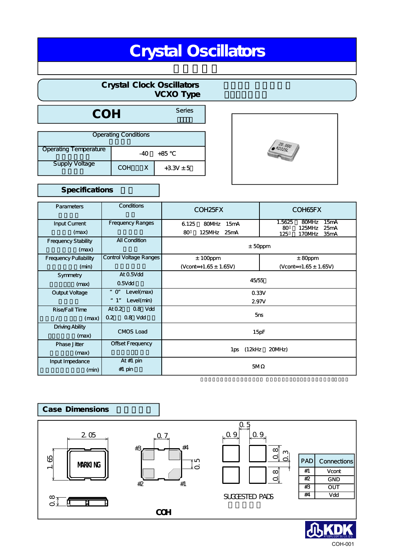# Crystal Oscillators

# Crystal Clock Oscillators VCXO Type

COH Series

| <b>Operating Conditions</b> |     |               |  |
|-----------------------------|-----|---------------|--|
| Operating Temperature       | -40 | +85           |  |
| <b>Supply Voltage</b>       | COH | $+3.3V \pm 5$ |  |



# Specifications

| Parameters                      | Conditions                           | COH <sub>25</sub> FX                | COH65FX                                                                   |  |
|---------------------------------|--------------------------------------|-------------------------------------|---------------------------------------------------------------------------|--|
| <b>Input Current</b>            | <b>Frequency Ranges</b>              | 80MHz<br>15 <sub>m</sub> A<br>6.125 | 1.5625<br>80MHz<br>15 <sub>m</sub> A<br>80<br>125MHz<br>25 <sub>m</sub> A |  |
| (max)                           |                                      | 80<br>125MHz<br>25mA                | 125<br>35mA<br>170MHz                                                     |  |
| Frequency Stability             | <b>All Condition</b>                 |                                     |                                                                           |  |
| (max)                           |                                      | $±$ 50ppm                           |                                                                           |  |
| <b>Frequency Pullability</b>    | <b>Control Voltage Ranges</b>        | $± 100$ ppm                         | $± 80$ ppm                                                                |  |
| (min)                           |                                      | (Vcont=+1.65 ± 1.65V)               | $(Vcont=+1.65 \pm 1.65V)$                                                 |  |
| Symmetry                        | At 0.5Vdd                            | 45/55                               |                                                                           |  |
| (max)                           | $0.5V$ dd                            |                                     |                                                                           |  |
| Output Voltage                  | Level(max)<br>$\boldsymbol{u}$<br>O" | 0.33V                               |                                                                           |  |
|                                 | Level(min)<br>$\boldsymbol{H}$<br>1" | 2.97V                               |                                                                           |  |
| Rise Fall Time                  | At 0.2<br>0.8 Vdd                    | 5 <sub>ns</sub>                     |                                                                           |  |
| (max)                           | $0.8$ Vdd<br>0.2                     |                                     |                                                                           |  |
| <b>Driving Ability</b><br>(max) | <b>CMOS Load</b>                     | 15pF                                |                                                                           |  |
| <b>Phase Jitter</b>             | Offset Frequency                     | (12kHz<br>20MHz)<br>1ps             |                                                                           |  |
| (max)                           |                                      |                                     |                                                                           |  |
| Input Impedance                 | At#1 pin                             | 5M                                  |                                                                           |  |
| (min)                           | $#1$ pin                             |                                     |                                                                           |  |



COH-001